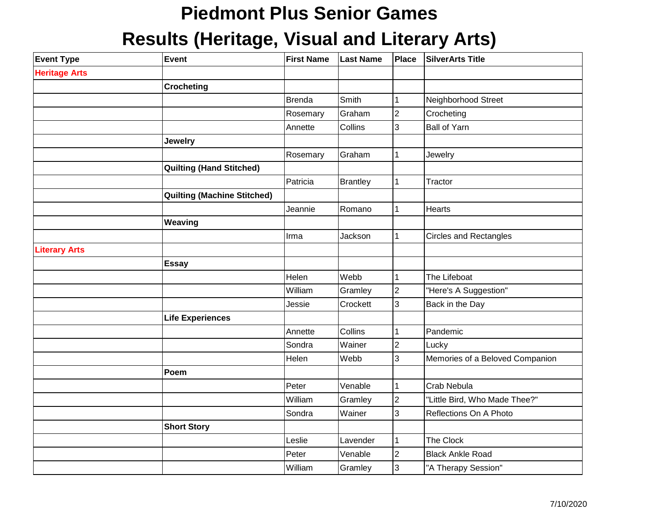## **Piedmont Plus Senior Games**

## **Results (Heritage, Visual and Literary Arts)**

| <b>Event Type</b>    | <b>Event</b>                       | <b>First Name</b> | <b>Last Name</b> | <b>Place</b>            | <b>SilverArts Title</b>         |
|----------------------|------------------------------------|-------------------|------------------|-------------------------|---------------------------------|
| <b>Heritage Arts</b> |                                    |                   |                  |                         |                                 |
|                      | <b>Crocheting</b>                  |                   |                  |                         |                                 |
|                      |                                    | <b>Brenda</b>     | Smith            | $\mathbf{1}$            | Neighborhood Street             |
|                      |                                    | Rosemary          | Graham           | $\overline{2}$          | Crocheting                      |
|                      |                                    | Annette           | Collins          | 3                       | <b>Ball of Yarn</b>             |
|                      | <b>Jewelry</b>                     |                   |                  |                         |                                 |
|                      |                                    | Rosemary          | Graham           | $\mathbf 1$             | Jewelry                         |
|                      | <b>Quilting (Hand Stitched)</b>    |                   |                  |                         |                                 |
|                      |                                    | Patricia          | <b>Brantley</b>  | $\mathbf{1}$            | Tractor                         |
|                      | <b>Quilting (Machine Stitched)</b> |                   |                  |                         |                                 |
|                      |                                    | Jeannie           | Romano           | $\mathbf{1}$            | Hearts                          |
|                      | Weaving                            |                   |                  |                         |                                 |
|                      |                                    | Irma              | Jackson          | $\mathbf{1}$            | <b>Circles and Rectangles</b>   |
| <b>Literary Arts</b> |                                    |                   |                  |                         |                                 |
|                      | <b>Essay</b>                       |                   |                  |                         |                                 |
|                      |                                    | Helen             | Webb             | $\mathbf{1}$            | The Lifeboat                    |
|                      |                                    | William           | Gramley          | $\overline{\mathbf{c}}$ | "Here's A Suggestion"           |
|                      |                                    | Jessie            | Crockett         | 3                       | Back in the Day                 |
|                      | <b>Life Experiences</b>            |                   |                  |                         |                                 |
|                      |                                    | Annette           | Collins          | 1                       | Pandemic                        |
|                      |                                    | Sondra            | Wainer           | $\overline{c}$          | Lucky                           |
|                      |                                    | Helen             | Webb             | 3                       | Memories of a Beloved Companion |
|                      | Poem                               |                   |                  |                         |                                 |
|                      |                                    | Peter             | Venable          | $\overline{1}$          | Crab Nebula                     |
|                      |                                    | William           | Gramley          | $\overline{c}$          | "Little Bird, Who Made Thee?"   |
|                      |                                    | Sondra            | Wainer           | 3                       | Reflections On A Photo          |
|                      | <b>Short Story</b>                 |                   |                  |                         |                                 |
|                      |                                    | Leslie            | Lavender         | $\mathbf 1$             | The Clock                       |
|                      |                                    | Peter             | Venable          | $\overline{c}$          | <b>Black Ankle Road</b>         |
|                      |                                    | William           | Gramley          | 3                       | "A Therapy Session"             |